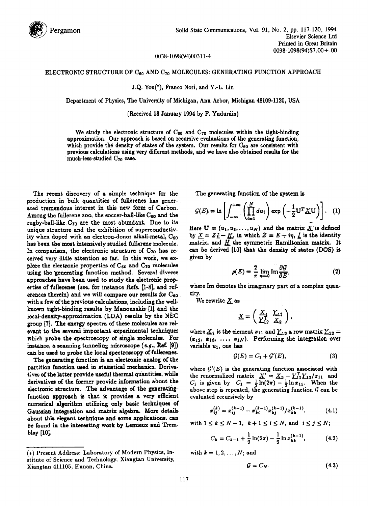

0038-1098(94)00311-4

## ELECTRONIC STRUCTURE OF  $\mathrm{C}_{60}$  and  $\mathrm{C}_{70}$  molecules: generating function approach

J.Q. You(\*), France Nori, and Y.-L. Lin

Department of Physics, The University of Michigan, Ann Arbor, Michigan 48109-1120, USA

## (Received 13 January 1994 by F. Ynduráin)

We study the electronic structure of  $C_{60}$  and  $C_{70}$  molecules within the tight-binding approximation. Our approach is based on recursive evaluations of the generating function, which provide the density of states of the system. Our results for  $C_{60}$  are consistent with previous calculations using very different methods, and we have also obtained results for the much-less-studied  $C_{70}$  case.

The recent discovery of a simple technique for the production in bulk quantities of fullcrenes has generated tremendous interest in this new form of Carbon. Among the fullerene zoo, the soccer-ball-like  $C_{60}$  and the rugby-ball-like  $C_{70}$  are the most abundant. Due to its unique structure and the exhibition of superconductivity when doped with an electron-donor alkali-metal, C<sub>60</sub> has been the most intensively studied fulhrene molecule. In comparison, the electronic structure of  $C_{70}$  has received very little attention so far. In this work, we explore the electronic properties of  $C_{60}$  and  $C_{70}$  molecules using the generating function method. Several diverse approaches have been used to study the electronic properties of fullerenes (see, for instance Refs. [1-8], and references therein) and we will compare our results for  $C_{60}$ with a few of the previous calculations, including the wellknown tight-binding results by Manousakis [1] and the local-density-approximation (LDA) results by the NEC group [7]. The energy spectra of these molecules are relevant to the several important experimental techniques which probe the spectroscopy of single molecules. For instance, a scanning tunneling microscope  $(e.g., Ref. [9])$ can be used to probe the local spectroscopy of fullerenes.

The generating function is an electronic analog of the partition function used in statistical mechanics. Derivat;ves of the latter provide useful thermal quantities, while derivatives of the former provide information about the electronic structure. The advantage of the generatingfunction approach ie that it provides a very efficient numerical algorithm utilizing only basic techniques of Gaussian integration and matrix algebra. More details about this elegant technique and some applications, can be found in the interesting work by Lemieux and Tremblay [10].

The generating function of the system is

$$
G(E) = \ln \left[ \int_{-\infty}^{+\infty} \left( \prod_{i=1}^{N} du_i \right) \exp \left( -\frac{1}{2} \mathbf{U}^T \underline{X} \mathbf{U} \right) \right]. \quad (1)
$$

Here  $\mathbf{U} = (u_1, u_2, \dots, u_N)$  and the matrix  $\underline{X}$  is defined by  $X = ZI - H$ , in which  $Z = E + i\eta$ ,  $\overline{L}$  is the identity matrix, and  $H$  the symmetric Hamiltonian matrix. It can be derived [10] that the density of states(DOS) is given by

$$
\rho(E) = \frac{2}{\pi} \lim_{\eta \to 0} \text{Im} \frac{\partial \mathcal{G}}{\partial E},\tag{2}
$$

where Im denotes the imaginary part of a complex quantity.

We rewrite  $X$  as

$$
\underline{X} = \left( \begin{array}{cc} \underline{X}_1 & \underline{Y}_{12} \\ \underline{Y}_{12}^T & \underline{X}_2 \end{array} \right),
$$

where  $\underline{X}_1$  is the element  $x_{11}$  and  $\underline{Y}_{12}$  a row matrix  $\underline{Y}_{12} =$  $(z_{12}, z_{13}, \ldots, z_{1N})$ . Performing the integration over variable  $u_1$ , one has

$$
\mathcal{G}(E) = C_1 + \mathcal{G}'(E),\tag{3}
$$

where  $G'(E)$  is the generating function associated with the renormalized matrix  $X' = X_2 - Y_{12}^T Y_{12}/x_{11}$  and  $C_1$  is given by  $C_1 = \frac{1}{2} \ln(2\pi) - \frac{1}{2} \ln x_{11}$ . When the above step is repeated, the generating function  $G$  can be evaluated recursively by

$$
x_{ij}^{(k)} = x_{ij}^{(k-1)} - x_{ki}^{(k-1)} x_{kj}^{(k-1)} / x_{kk}^{(k-1)},
$$
 (4.1)

with  $1 \leq k \leq N-1$ ,  $k+1 \leq i \leq N$ , and  $i \leq j \leq N$ ;

$$
C_k = C_{k-1} + \frac{1}{2}\ln(2\pi) - \frac{1}{2}\ln x_{kk}^{(k-1)},
$$
 (4.2)

with  $k = 1, 2, \ldots, N$ ; and

$$
\mathcal{G}=C_N.\tag{4.3}
$$

<sup>(\*)</sup> Present Address: Laboratory of Modern Physics, Institute of Science and Technology, Xiangtan University, Xiangtan 411105, Hunan, China.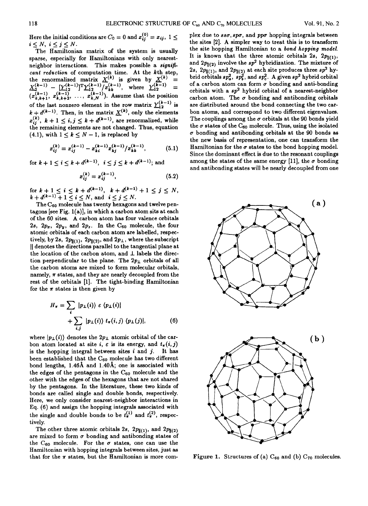Here the initial conditions are  $C_0 = 0$  and  $x_{ij}^{(0)} = x_{ij}$ ,  $1 \leq$  $i \leq N$ ,  $i \leq j \leq N$ .

The Hamiltonian matrix of the system is usually sparse, especially for Hamiltonians with only nearestneighbor interactions. This makes possible a *significant reduction* of computation time. At the kth step, the renormalized matrix  $X^{(k)}$  is given by  $X^{(k)} =$  $X_2^{(k-1)} - \left[ \underline{Y}_{12}^{(k-1)} \right]^{\mathrm{T}} \underline{Y}_{12}^{(k-1)} / x_{kk}^{(k-1)}, \text{ where } \underline{Y}_{12}^{(k-1)}$  $(x_{k,k+1}^{(k-1)}, x_{k,k+2}^{(k-1)}, \ldots, x_{k,N}^{(k-1)})$ . Assume that the position of the last nonzero element in the row matrix  $Y_{12}^{(-1)}$  is  $k + d^{(k-1)}$ . Then, in the matrix  $X^{(k)}$ , only the elements  $x_{i,j}^{(k)}$ ,  $k+1 \leq i,j \leq k+d^{(k-1)}$ , are renormalized, while the remaining elements are not changed. Thus, equation (4.1), with  $1 \leq k \leq N-1$ , is replaced by

$$
x_{ij}^{(k)} = x_{ij}^{(k-1)} - x_{ki}^{(k-1)} x_{kj}^{(k-1)}/x_{kk}^{(k-1)},
$$
 (5.1)

for  $k+1 \leq i \leq k+d^{(k-1)}$ ,  $i \leq j \leq k+d^{(k-1)}$ ; and

$$
x_{ij}^{(k)} = x_{ij}^{(k-1)},
$$
 (5.2)

for  $k+1 \leq i \leq k+d^{(k-1)}$ ,  $k+d^{(k-1)}+1 \leq j \leq N$ ,  $k+d^{(k-1)}+1\leq i\leq N, \text{ and } i\leq j\leq N.$ 

The  $C_{60}$  molecule has twenty hexagons and twelve pentagons [see Fig. l(a)], in which a carbon atom sits at each of the 60 sites. A carbon atom has four valence orbitals 2s,  $2p_x$ ,  $2p_y$ , and  $2p_z$ . In the C<sub>60</sub> molecule, the four atomic orbitals of each carbon atom are labelled, respectively, by 2s,  $2p_{\parallel(1)}$ ,  $2p_{\parallel(2)}$ , and  $2p_{\perp}$ , where the subscript II denotes the directions parallel to the tangential plane at the location of the carbon atom, and  $\perp$  labels the direction perpendicular to the plane. The  $2p_{\perp}$  orbitals of all the carbon atoms are mixed to form molecular orbitals, namely,  $\pi$  states, and they are nearly decoupled from the rest of the orbitals [1]. The tight-binding Hamiltonian for the  $\pi$  states is then given by

$$
H_{\pi} = \sum_{i} |p_{\perp}(i)\rangle \varepsilon \langle p_{\perp}(i)|
$$
  
+ 
$$
\sum_{i,j} |p_{\perp}(i)\rangle t_{\pi}(i,j) \langle p_{\perp}(j)|,
$$
 (6)

where  $|p_{\perp}(i)\rangle$  denotes the  $2p_{\perp}$  atomic orbital of the carbon atom located at site *i*,  $\varepsilon$  is its energy, and  $t_{\pi}(i,j)$ is the hopping integral between sites  $i$  and  $j$ . It has been established that the  $C_{60}$  molecule has two different bond lengths,  $1.46\text{\AA}$  and  $1.40\text{\AA}$ ; one is associated with the edges of the pentagons in the  $C_{60}$  molecule and the other with the edges of the hexagons that are not shared by the pentagons. In the literature, these two kinds of bonds are called single and double bonds, respectively. Here, we only consider nearest-neighbor interactions in Eq. (6) and assign the hopping integrals associated with the single and double bonds to be  $t_{\pi}^{(1)}$  and  $t_{\pi}^{(2)}$ , respectively.

The other three atomic orbitals 2s,  $2p_{\parallel(1)}$ , and  $2p_{\parallel(2)}$ are mixed to form  $\sigma$  bonding and antibonding states of the C<sub>60</sub> molecule. For the  $\sigma$  states, one can use the Hamiltonian with hopping integrals between sites, just as that for the  $\pi$  states, but the Hamiltonian is more complex due to  $ss\sigma, sp\sigma$ , and pp $\sigma$  hopping integrals between the sites [2]. A simpler way to treat this is to transform the site hopping Hamiltonian to a *bond hopping model.*  It is known that the three atomic orbitals 2s,  $2p_{\parallel(1)}$ , and  $2p_{\parallel (2)}$  involve the  $sp^2$  hybridization. The mixture of 2s,  $2p_{\parallel(1)}$ , and  $2p_{\parallel(2)}$  at each site produces three  $sp^2$  hybrid orbitals  $sp_a^2$ ,  $sp_b^2$ , and  $sp_c^2$ . A given  $sp^2$  hybrid orbital of a carbon atom can form  $\sigma$  bonding and anti-bonding orbitals with a  $sp^2$  hybrid orbital of a nearest-neighbor carbon atom. The  $\sigma$  bonding and antibonding orbitals are distributed around the bond connecting the two earbon atoms, and correspond to two different eigenvalues. The couplings among the  $\sigma$  orbitals at the 90 bonds yield the  $\sigma$  states of the C<sub>60</sub> molecule. Thus, using the isolated  $\sigma$  bonding and antibonding orbitals at the 90 bonds as the new basis of representation, one can transform the Hamiltonian for the  $\sigma$  states to the bond hopping model. Since the dominant effect is due to the resonant couplings among the states of the same energy [11], the  $\sigma$  bonding and antibonding states will be nearly decoupled from one



Figure 1. Structures of (a)  $C_{60}$  and (b)  $C_{70}$  molecules.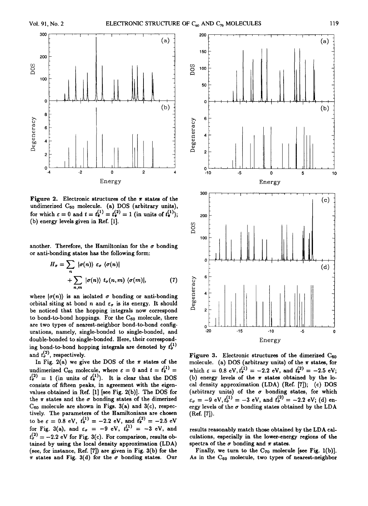

Figure 2. Electronic structures of the  $\pi$  states of the undimerized  $C_{60}$  molecule. (a) DOS (arbitrary units), for which  $\varepsilon = 0$  and  $t = t_{\pi}^{(1)} = t_{\pi}^{(2)} = 1$  (in units of  $t_{\pi}^{(1)}$ ); (b) energy levels given in Ref. [1].

another. Therefore, the Hamiltonian for the  $\sigma$  bonding or anti-bonding states has the following form:

$$
H_{\sigma} = \sum_{n} |\sigma(n)\rangle \varepsilon_{\sigma} \langle \sigma(n)|
$$
  
+ 
$$
\sum_{n,m} |\sigma(n)\rangle t_{\sigma}(n,m) \langle \sigma(m)|,
$$
 (7)

where  $|\sigma(n)\rangle$  is an isolated  $\sigma$  bonding or anti-bonding orbital siting at bond n and  $\varepsilon_{\sigma}$  is its energy. It should be noticed that the hopping integrals now correspond to bond-to-bond hoppings. For the  $C_{60}$  molecule, there are two types of nearest-neighbor bond-to-bond configurations, namely, single-bonded to single-bonded, and double-bonded to single-bonded. Here, their corresponding bond-to-bond hopping integrals are denoted by  $t_{\sigma}^{(1)}$ and  $t_{\sigma}^{(2)}$ , respectively.

In Fig. 2(a) we give the DOS of the  $\pi$  states of the undimerized C<sub>60</sub> molecule, where  $\varepsilon = 0$  and  $t = t_{\pi}^{(1)} =$  $t_{\pi}^{(2)} = 1$  (in units of  $t_{\pi}^{(1)}$ ). It is clear that the DOS consists of fifteen peaks, in agreement with the eigenvalues obtained in Ref.  $[1]$  [see Fig. 2(b)]. The DOS for the  $\pi$  states and the  $\sigma$  bonding states of the dimerized  $C_{60}$  molecule are shown in Figs. 3(a) and 3(c), respectively. The parameters of the Hamiltonians are chosen to be  $\varepsilon = 0.8 \text{ eV}, t_{\pi}^{(1)} = -2.2 \text{ eV}, \text{ and } t_{\pi}^{(2)} = -2.5 \text{ eV}$ for Fig. 3(a), and  $\varepsilon_{\sigma} = -9$  eV,  $t_{\sigma}^{(1)} = -3$  eV, and  $t_{\sigma}^{(2)} = -2.2$  eV for Fig. 3(c). For comparison, results obtained by using the local density approximation (LDA) (see, for instance, Ref. [7]) are given in Fig. 3(b) for the  $\pi$  states and Fig. 3(d) for the  $\sigma$  bonding states. Our



Figure 3. Electronic structures of the dimerized  $C_{60}$ molecule. (a) DOS (arbitrary units) of the  $\pi$  states, for which  $\varepsilon = 0.8 \text{ eV}, t_{\pi}^{(1)} = -2.2 \text{ eV}, \text{ and } t_{\pi}^{(2)} = -2.5 \text{ eV};$ (b) energy levels of the  $\pi$  states obtained by the local density approximation (LDA) (Ref. [7]); (c) DOS (arbitrary units) of the  $\sigma$  bonding states, for which  $\epsilon_{\sigma} = -9$  eV,  $t_{\sigma}^{(1)} = -3$  eV, and  $t_{\sigma}^{(2)} = -2.2$  eV; (d) energy levels of the  $\sigma$  bonding states obtained by the LDA  $(Ref. [7]).$ 

results reasonably match those obtained by the LDA calculations, especially in the lower-energy regions of the spectra of the  $\sigma$  bonding and  $\pi$  states.

Finally, we turn to the  $C_{70}$  molecule [see Fig. 1(b)]. As in the  $C_{60}$  molecule, two types of nearest-neighbor